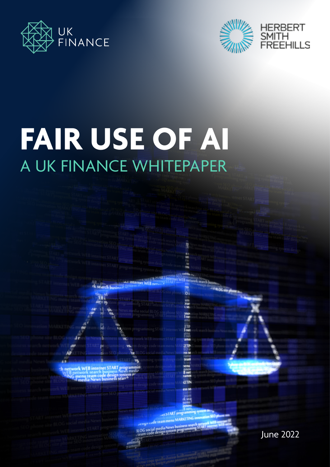



# **FAIR USE OF AI** A UK FINANCE WHITEPAPER

o 高端

Inc.

ETT.<br>Smet

**ETP 155 S** ie.

**B** met **GTIN** 

June 2022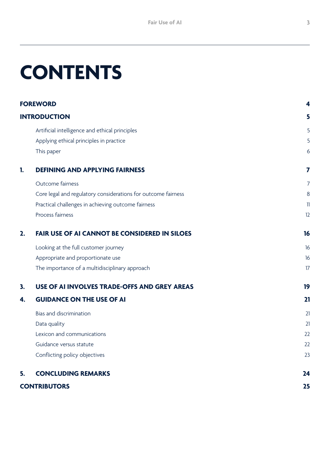## **CONTENTS**

| <b>FOREWORD</b><br><b>INTRODUCTION</b> |                                                               | 4              |
|----------------------------------------|---------------------------------------------------------------|----------------|
|                                        |                                                               | 5              |
|                                        | Artificial intelligence and ethical principles                | 5              |
|                                        | Applying ethical principles in practice                       | 5              |
|                                        | This paper                                                    | 6              |
| 1.                                     | <b>DEFINING AND APPLYING FAIRNESS</b>                         | 7              |
|                                        | Outcome fairness                                              | $\overline{7}$ |
|                                        | Core legal and regulatory considerations for outcome fairness | 8              |
|                                        | Practical challenges in achieving outcome fairness            | $\mathbb{I}$   |
|                                        | Process fairness                                              | 12             |
| 2.                                     | <b>FAIR USE OF AI CANNOT BE CONSIDERED IN SILOES</b>          | 16             |
|                                        | Looking at the full customer journey                          | 16             |
|                                        | Appropriate and proportionate use                             | 16             |
|                                        | The importance of a multidisciplinary approach                | 17             |
| 3.                                     | USE OF AI INVOLVES TRADE-OFFS AND GREY AREAS                  | 19             |
| 4.                                     | <b>GUIDANCE ON THE USE OF AI</b>                              | 21             |
|                                        | Bias and discrimination                                       | 21             |
|                                        | Data quality                                                  | 21             |
|                                        | Lexicon and communications                                    | 22             |
|                                        | Guidance versus statute                                       | 22             |
|                                        | Conflicting policy objectives                                 | 23             |
| 5.                                     | <b>CONCLUDING REMARKS</b>                                     | 24             |
| <b>CONTRIBUTORS</b>                    |                                                               | 25             |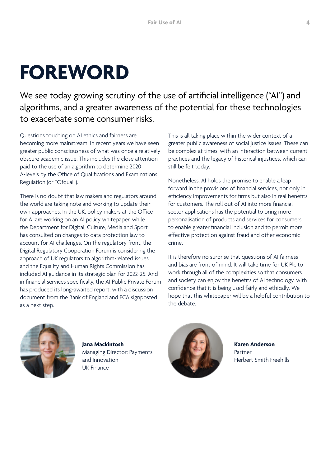## <span id="page-3-0"></span>**FOREWORD**

We see today growing scrutiny of the use of artificial intelligence ("AI") and algorithms, and a greater awareness of the potential for these technologies to exacerbate some consumer risks.

Questions touching on AI ethics and fairness are becoming more mainstream. In recent years we have seen greater public consciousness of what was once a relatively obscure academic issue. This includes the close attention paid to the use of an algorithm to determine 2020 A-levels by the Office of Qualifications and Examinations Regulation (or "Ofqual").

There is no doubt that law makers and regulators around the world are taking note and working to update their own approaches. In the UK, policy makers at the Office for AI are working on an AI policy whitepaper, while the Department for Digital, Culture, Media and Sport has consulted on changes to data protection law to account for AI challenges. On the regulatory front, the Digital Regulatory Cooperation Forum is considering the approach of UK regulators to algorithm-related issues and the Equality and Human Rights Commission has included AI guidance in its strategic plan for 2022-25. And in financial services specifically, the AI Public Private Forum has produced its long-awaited report, with a discussion document from the Bank of England and FCA signposted as a next step.

This is all taking place within the wider context of a greater public awareness of social justice issues. These can be complex at times, with an interaction between current practices and the legacy of historical injustices, which can still be felt today.

Nonetheless, AI holds the promise to enable a leap forward in the provisions of financial services, not only in efficiency improvements for firms but also in real benefits for customers. The roll out of AI into more financial sector applications has the potential to bring more personalisation of products and services for consumers, to enable greater financial inclusion and to permit more effective protection against fraud and other economic crime.

It is therefore no surprise that questions of AI fairness and bias are front of mind. It will take time for UK Plc to work through all of the complexities so that consumers and society can enjoy the benefits of AI technology, with confidence that it is being used fairly and ethically. We hope that this whitepaper will be a helpful contribution to the debate.



**Jana Mackintosh** Managing Director: Payments and Innovation UK Finance



**Karen Anderson** Partner Herbert Smith Freehills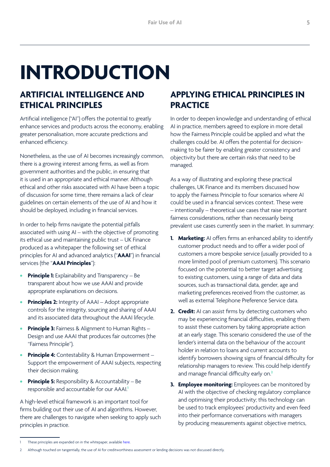## <span id="page-4-0"></span>**INTRODUCTION**

#### **ARTIFICIAL INTELLIGENCE AND ETHICAL PRINCIPLES**

Artificial intelligence ("AI") offers the potential to greatly enhance services and products across the economy, enabling greater personalisation, more accurate predictions and enhanced efficiency.

Nonetheless, as the use of AI becomes increasingly common, there is a growing interest among firms, as well as from government authorities and the public, in ensuring that it is used in an appropriate and ethical manner. Although ethical and other risks associated with AI have been a topic of discussion for some time, there remains a lack of clear guidelines on certain elements of the use of AI and how it should be deployed, including in financial services.

In order to help firms navigate the potential pitfalls associated with using AI – with the objective of promoting its ethical use and maintaining public trust – UK Finance produced as a whitepaper the following set of ethical principles for AI and advanced analytics ("**AAAI**") in financial services (the "**AAAI Principles**"):

- **• Principle 1:** Explainability and Transparency Be transparent about how we use AAAI and provide appropriate explanations on decisions.
- **• Principles 2:** Integrity of AAAI Adopt appropriate controls for the integrity, sourcing and sharing of AAAI and its associated data throughout the AAAI lifecycle.
- **• Principle 3:** Fairness & Alignment to Human Rights Design and use AAAI that produces fair outcomes (the "Fairness Principle").
- **• Principle 4:** Contestability & Human Empowerment Support the empowerment of AAAI subjects, respecting their decision making.
- **Principle 5:** Responsibility & Accountability Be responsible and accountable for our AAAI.**<sup>1</sup>**

A high-level ethical framework is an important tool for firms building out their use of AI and algorithms. However, there are challenges to navigate when seeking to apply such principles in practice.

#### **APPLYING ETHICAL PRINCIPLES IN PRACTICE**

In order to deepen knowledge and understanding of ethical AI in practice, members agreed to explore in more detail how the Fairness Principle could be applied and what the challenges could be. AI offers the potential for decisionmaking to be fairer by enabling greater consistency and objectivity but there are certain risks that need to be managed.

As a way of illustrating and exploring these practical challenges, UK Finance and its members discussed how to apply the Fairness Principle to four scenarios where AI could be used in a financial services context. These were – intentionally – theoretical use cases that raise important fairness considerations, rather than necessarily being prevalent use cases currently seen in the market. In summary:

- **1. Marketing:** AI offers firms an enhanced ability to identify customer product needs and to offer a wider pool of customers a more bespoke service (usually provided to a more limited pool of premium customers). This scenario focused on the potential to better target advertising to existing customers, using a range of data and data sources, such as transactional data, gender, age and marketing preferences received from the customer, as well as external Telephone Preference Service data.
- **2. Credit:** AI can assist firms by detecting customers who may be experiencing financial difficulties, enabling them to assist these customers by taking appropriate action at an early stage. This scenario considered the use of the lender's internal data on the behaviour of the account holder in relation to loans and current accounts to identify borrowers showing signs of financial difficulty for relationship managers to review. This could help identify and manage financial difficulty early on.**<sup>2</sup>**
- **3. Employee monitoring:** Employees can be monitored by AI with the objective of checking regulatory compliance and optimising their productivity; this technology can be used to track employees' productivity and even feed into their performance conversations with managers by producing measurements against objective metrics,

These principles are expanded on in the whitepaper, available [here](https://www.ukfinance.org.uk/system/files/AAAI-Principles-FINAL.pdf).

<sup>2</sup> Although touched on tangentially, the use of AI for creditworthiness assessment or lending decisions was not discussed directly.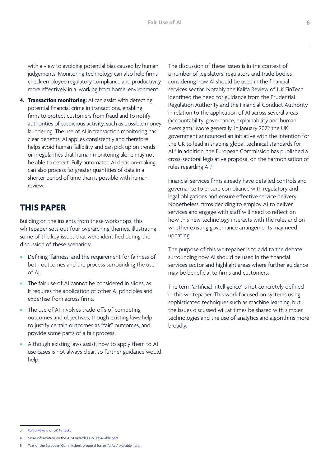<span id="page-5-0"></span>with a view to avoiding potential bias caused by human judgements. Monitoring technology can also help firms check employee regulatory compliance and productivity more effectively in a 'working from home' environment.

**4. Transaction monitoring:** AI can assist with detecting potential financial crime in transactions, enabling firms to protect customers from fraud and to notify authorities of suspicious activity, such as possible money laundering. The use of AI in transaction monitoring has clear benefits: AI applies consistently and therefore helps avoid human fallibility and can pick up on trends or irregularities that human monitoring alone may not be able to detect. Fully automated AI decision-making can also process far greater quantities of data in a shorter period of time than is possible with human review.

#### **THIS PAPER**

Building on the insights from these workshops, this whitepaper sets out four overarching themes, illustrating some of the key issues that were identified during the discussion of these scenarios:

- **•** Defining 'fairness' and the requirement for fairness of both outcomes and the process surrounding the use of AI.
- **•** The fair use of AI cannot be considered in siloes, as it requires the application of other AI principles and expertise from across firms.
- **•** The use of AI involves trade-offs of competing outcomes and objectives, though existing laws help to justify certain outcomes as "fair" outcomes, and provide some parts of a fair process.
- **•** Although existing laws assist, how to apply them to AI use cases is not always clear, so further guidance would help.

The discussion of these issues is in the context of a number of legislators, regulators and trade bodies considering how AI should be used in the financial services sector. Notably the Kalifa Review of UK FinTech identified the need for guidance from the Prudential Regulation Authority and the Financial Conduct Authority in relation to the application of AI across several areas (accountability, governance, explainability and human oversight).**<sup>3</sup>** More generally, in January 2022 the UK government announced an initiative with the intention for the UK to lead in shaping global technical standards for AI.**<sup>4</sup>** In addition, the European Commission has published a cross-sectoral legislative proposal on the harmonisation of rules regarding AI.**<sup>5</sup>**

Financial services firms already have detailed controls and governance to ensure compliance with regulatory and legal obligations and ensure effective service delivery. Nonetheless, firms deciding to employ AI to deliver services and engage with staff will need to reflect on how this new technology interacts with the rules and on whether existing governance arrangements may need updating.

The purpose of this whitepaper is to add to the debate surrounding how AI should be used in the financial services sector and highlight areas where further guidance may be beneficial to firms and customers.

The term 'artificial intelligence' is not concretely defined in this whitepaper. This work focused on systems using sophisticated techniques such as machine learning, but the issues discussed will at times be shared with simpler technologies and the use of analytics and algorithms more broadly.

<sup>3</sup> *[Kalifa Review of UK Fintech.](https://assets.publishing.service.gov.uk/government/uploads/system/uploads/attachment_data/file/978396/KalifaReviewofUKFintech01.pdf)*

More information on the AI Standards Hub is available [here.](https://www.gov.uk/government/news/new-uk-initiative-to-shape-global-standards-for-artificial-intelligence)

<sup>5</sup> Text of the European Commission's proposal for an 'AI Act' available [here.](https://eur-lex.europa.eu/legal-content/EN/TXT/?qid=1623335154975&uri=CELEX%3A52021PC0206)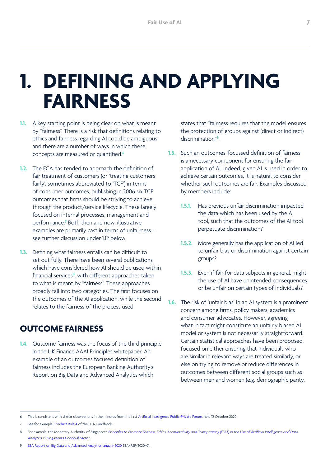## <span id="page-6-0"></span>**1. DEFINING AND APPLYING FAIRNESS**

- **1.1.** A key starting point is being clear on what is meant by "fairness". There is a risk that definitions relating to ethics and fairness regarding AI could be ambiguous and there are a number of ways in which these concepts are measured or quantified.**<sup>6</sup>**
- **1.2.** The FCA has tended to approach the definition of fair treatment of customers (or 'treating customers fairly', sometimes abbreviated to 'TCF') in terms of consumer outcomes, publishing in 2006 six TCF outcomes that firms should be striving to achieve through the product/service lifecycle. These largely focused on internal processes, management and performance.**<sup>7</sup>** Both then and now, illustrative examples are primarily cast in terms of unfairness – see further discussion under 1.12 below.
- **1.3.** Defining what fairness entails can be difficult to set out fully. There have been several publications which have considered how AI should be used within financial services**<sup>8</sup>** , with different approaches taken to what is meant by "fairness". These approaches broadly fall into two categories. The first focuses on the outcomes of the AI application, while the second relates to the fairness of the process used.

#### **OUTCOME FAIRNESS**

**1.4.** Outcome fairness was the focus of the third principle in the UK Finance AAAI Principles whitepaper. An example of an outcomes focused definition of fairness includes the European Banking Authority's Report on Big Data and Advanced Analytics which

states that "fairness requires that the model ensures the protection of groups against (direct or indirect) discrimination"**<sup>9</sup>** .

- **1.5.** Such an outcomes-focussed definition of fairness is a necessary component for ensuring the fair application of AI. Indeed, given AI is used in order to achieve certain outcomes, it is natural to consider whether such outcomes are fair. Examples discussed by members include:
	- **1.5.1.** Has previous unfair discrimination impacted the data which has been used by the AI tool, such that the outcomes of the AI tool perpetuate discrimination?
	- **1.5.2.** More generally has the application of AI led to unfair bias or discrimination against certain groups?
	- **1.5.3.** Even if fair for data subjects in general, might the use of AI have unintended consequences or be unfair on certain types of individuals?
- **1.6.** The risk of 'unfair bias' in an AI system is a prominent concern among firms, policy makers, academics and consumer advocates. However, agreeing what in fact might constitute an unfairly biased AI model or system is not necessarily straightforward. Certain statistical approaches have been proposed, focused on either ensuring that individuals who are similar in relevant ways are treated similarly, or else on trying to remove or reduce differences in outcomes between different social groups such as between men and women (e.g. demographic parity,

This is consistent with similar observations in the minutes from the first [Artificial Intelligence Public-Private Forum,](https://www.bankofengland.co.uk/news?NewsTypes=09f8960ebc384e3589da5349744916ae&Taxonomies=8a8ca1e0b3a04d65bb63d24bfcb0337d&InfiniteScrolling=False&Direction=Latest) held 12 October 2020.

See for example [Conduct Rule 4](https://www.handbook.fca.org.uk/handbook/COCON/4/1.html) of the FCA Handbook.

<sup>8</sup> For example, the Monetary Authority of Singapore's *[Principles to Promote Fairness, Ethics, Accountability and Transparency \(FEAT\) in the Use of Artificial Intelligence and Data](https://www.mas.gov.sg/~/media/MAS/News%20and%20Publications/Monographs%20and%20Information%20Papers/FEAT%20Principles%20Final.pdf)  [Analytics in Singapore's Financial Sector](https://www.mas.gov.sg/~/media/MAS/News%20and%20Publications/Monographs%20and%20Information%20Papers/FEAT%20Principles%20Final.pdf).*

<sup>9</sup> [EBA Report on Big Data and Advanced Analytics January 2020](https://www.eba.europa.eu/sites/default/documents/files/document_library/Final%20Report%20on%20Big%20Data%20and%20Advanced%20Analytics.pdf) EBA/REP/2020/01.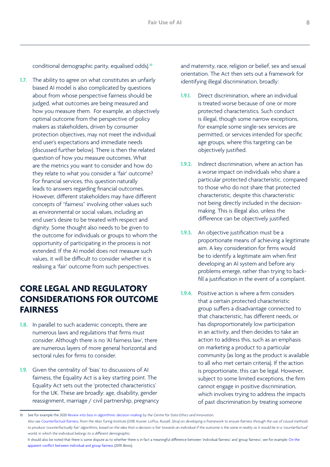<span id="page-7-0"></span>conditional demographic parity, equalised odds).**<sup>10</sup>**

**1.7.** The ability to agree on what constitutes an unfairly biased AI model is also complicated by questions about from whose perspective fairness should be judged, what outcomes are being measured and how you measure them. For example, an objectively optimal outcome from the perspective of policy makers as stakeholders, driven by consumer protection objectives, may not meet the individual end user's expectations and immediate needs (discussed further below). There is then the related question of how you measure outcomes. What are the metrics you want to consider and how do they relate to what you consider a 'fair' outcome? For financial services, this question naturally leads to answers regarding financial outcomes. However, different stakeholders may have different concepts of "fairness" involving other values such as environmental or social values, including an end user's desire to be treated with respect and dignity. Some thought also needs to be given to the outcome for individuals or groups to whom the opportunity of participating in the process is not extended. If the AI model does not measure such values, it will be difficult to consider whether it is realising a 'fair' outcome from such perspectives.

### **CORE LEGAL AND REGULATORY CONSIDERATIONS FOR OUTCOME FAIRNESS**

- **1.8.** In parallel to such academic concepts, there are numerous laws and regulations that firms must consider. Although there is no 'AI fairness law', there are numerous layers of more general horizontal and sectoral rules for firms to consider.
- **1.9.** Given the centrality of 'bias' to discussions of AI fairness, the Equality Act is a key starting point. The Equality Act sets out the 'protected characteristics' for the UK. These are broadly: age, disability, gender reassignment, marriage / civil partnership, pregnancy

and maternity, race, religion or belief, sex and sexual orientation. The Act then sets out a framework for identifying illegal discrimination, broadly:

- **1.9.1.** Direct discrimination, where an individual is treated worse because of one or more protected characteristics. Such conduct is illegal, though some narrow exceptions, for example some single-sex services are permitted, or services intended for specific age groups, where this targeting can be objectively justified.
- **192.** Indirect discrimination, where an action has a worse impact on individuals who share a particular protected characteristic, compared to those who do not share that protected characteristic, despite this characteristic not being directly included in the decisionmaking. This is illegal also, unless the difference can be objectively justified.
- **1.9.3.** An objective justification must be a proportionate means of achieving a legitimate aim. A key consideration for firms would be to identify a legitimate aim when first developing an AI system and before any problems emerge, rather than trying to backfill a justification in the event of a complaint.
- **1.9.4.** Positive action is where a firm considers that a certain protected characteristic group suffers a disadvantage connected to that characteristic, has different needs, or has disproportionately low participation in an activity, and then decides to take an action to address this, such as an emphasis on marketing a product to a particular community (as long as the product is available to all who met certain criteria). If the action is proportionate, this can be legal. However, subject to some limited exceptions, the firm cannot engage in positive discrimination, which involves trying to address the impacts of past discrimination by treating someone

<sup>10</sup> See for example the 2020 *[Review into bias in algorithmic decision-making](https://assets.publishing.service.gov.uk/government/uploads/system/uploads/attachment_data/file/957259/Review_into_bias_in_algorithmic_decision-making.pdf) by the Centre for Data Ethics and Innovation. Also see [Counterfactual fairness](https://arxiv.org/pdf/1703.06856.pdf), from the Alan Turing Institute (2018, Kusner, Loftus, Russell, Silva) on developing a framework to ensure fairness through the use of causal methods* 

to produce 'counterfactually fair' algorithms, based on the idea that a decision is fair towards an individual if the outcome is the same in reality as it would be in a 'counterfactual' *world, in which the individual belongs to a different demographic.* 

It should also be noted that there is some dispute as to whether there is in fact a meaningful difference between 'individual fairness' and 'group fairness'; see for example: On the [apparent conflict between individual and group fairness](https://arxiv.org/abs/1912.06883) (2019, Binns).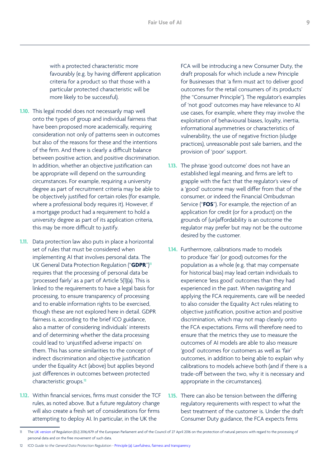with a protected characteristic more favourably (e.g. by having different application criteria for a product so that those with a particular protected characteristic will be more likely to be successful).

- **1.10.** This legal model does not necessarily map well onto the types of group and individual fairness that have been proposed more academically, requiring consideration not only of patterns seen in outcomes but also of the reasons for these and the intentions of the firm. And there is clearly a difficult balance between positive action, and positive discrimination. In addition, whether an objective justification can be appropriate will depend on the surrounding circumstances. For example, requiring a university degree as part of recruitment criteria may be able to be objectively justified for certain roles (for example, where a professional body requires it). However, if a mortgage product had a requirement to hold a university degree as part of its application criteria, this may be more difficult to justify.
- **1.11.** Data protection law also puts in place a horizontal set of rules that must be considered when implementing AI that involves personal data. The UK General Data Protection Regulation ("**GDPR**")**<sup>11</sup>** requires that the processing of personal data be 'processed fairly' as a part of Article 5(1)(a). This is linked to the requirements to have a legal basis for processing, to ensure transparency of processing and to enable information rights to be exercised, though these are not explored here in detail. GDPR fairness is, according to the brief ICO guidance, also a matter of considering individuals' interests and of determining whether the data processing could lead to 'unjustified adverse impacts' on them. This has some similarities to the concept of indirect discrimination and objective justification under the Equality Act (above) but applies beyond just differences in outcomes between protected characteristic groups.**<sup>12</sup>**
- **1.12.** Within financial services, firms must consider the TCF rules, as noted above. But a future regulatory change will also create a fresh set of considerations for firms attempting to deploy AI. In particular, in the UK the

FCA will be introducing a new Consumer Duty, the draft proposals for which include a new Principle for Businesses that 'a firm must act to deliver good outcomes for the retail consumers of its products' (the "Consumer Principle"). The regulator's examples of 'not good' outcomes may have relevance to AI use cases, for example, where they may involve the exploitation of behavioural biases, loyalty, inertia, informational asymmetries or characteristics of vulnerability, the use of negative friction (sludge practices), unreasonable post sale barriers, and the provision of 'poor' support.

- **1.13.** The phrase 'good outcome' does not have an established legal meaning, and firms are left to grapple with the fact that the regulator's view of a 'good' outcome may well differ from that of the consumer, or indeed the Financial Ombudsman Service ("**FOS**"). For example, the rejection of an application for credit (or for a product) on the grounds of (un)affordability is an outcome the regulator may prefer but may not be the outcome desired by the customer.
- **1.14.** Furthermore, calibrations made to models to produce 'fair' (or good) outcomes for the population as a whole (e.g. that may compensate for historical bias) may lead certain individuals to experience 'less good' outcomes than they had experienced in the past. When navigating and applying the FCA requirements, care will be needed to also consider the Equality Act rules relating to objective justification, positive action and positive discrimination, which may not map cleanly onto the FCA expectations. Firms will therefore need to ensure that the metrics they use to measure the outcomes of AI models are able to also measure 'good' outcomes for customers as well as 'fair' outcomes, in addition to being able to explain why calibrations to models achieve both (and if there is a trade-off between the two, why it is necessary and appropriate in the circumstances).
- **1.15.** There can also be tension between the differing regulatory requirements with respect to what the best treatment of the customer is. Under the draft Consumer Duty guidance, the FCA expects firms

The [UK version](https://www.legislation.gov.uk/eur/2016/679) of Regulation (EU) 2016/679 of the European Parliament and of the Council of 27 April 2016 on the protection of natural persons with regard to the processing of personal data and on the free movement of such data.

<sup>12</sup> ICO Guide to the General Data Protection Regulation - Principle (a): Lawfulness, fairness and transparency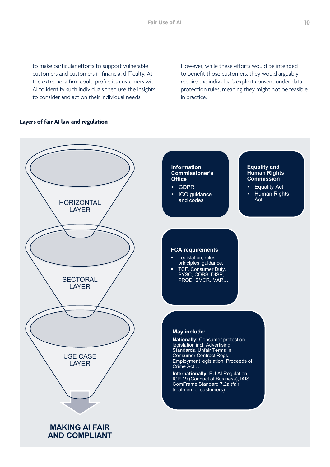to make particular efforts to support vulnerable customers and customers in financial difficulty. At the extreme, a firm could profile its customers with AI to identify such individuals then use the insights to consider and act on their individual needs.

However, while these efforts would be intended to benefit those customers, they would arguably require the individual's explicit consent under data protection rules, meaning they might not be feasible in practice.

#### **Layers of fair AI law and regulation**

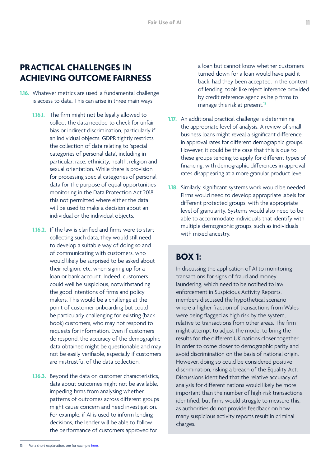#### <span id="page-10-0"></span>**PRACTICAL CHALLENGES IN ACHIEVING OUTCOME FAIRNESS**

- **1.16.** Whatever metrics are used, a fundamental challenge is access to data. This can arise in three main ways:
	- **1.16.1.** The firm might not be legally allowed to collect the data needed to check for unfair bias or indirect discrimination, particularly if an individual objects. GDPR tightly restricts the collection of data relating to 'special categories of personal data', including in particular: race, ethnicity, health, religion and sexual orientation. While there is provision for processing special categories of personal data for the purpose of equal opportunities monitoring in the Data Protection Act 2018, this not permitted where either the data will be used to make a decision about an individual or the individual objects.
	- **1.16.2.** If the law is clarified and firms were to start collecting such data, they would still need to develop a suitable way of doing so and of communicating with customers, who would likely be surprised to be asked about their religion, etc, when signing up for a loan or bank account. Indeed, customers could well be suspicious, notwithstanding the good intentions of firms and policy makers. This would be a challenge at the point of customer onboarding but could be particularly challenging for existing (back book) customers, who may not respond to requests for information. Even if customers do respond, the accuracy of the demographic data obtained might be questionable and may not be easily verifiable, especially if customers are mistrustful of the data collection.
	- **1.16.3.** Beyond the data on customer characteristics, data about outcomes might not be available, impeding firms from analysing whether patterns of outcomes across different groups might cause concern and need investigation. For example, if AI is used to inform lending decisions, the lender will be able to follow the performance of customers approved for
- **1.17.** An additional practical challenge is determining the appropriate level of analysis. A review of small business loans might reveal a significant difference in approval rates for different demographic groups. However, it could be the case that this is due to these groups tending to apply for different types of financing, with demographic differences in approval rates disappearing at a more granular product level.
- **1.18.** Similarly, significant systems work would be needed. Firms would need to develop appropriate labels for different protected groups, with the appropriate level of granularity. Systems would also need to be able to accommodate individuals that identify with multiple demographic groups, such as individuals with mixed ancestry.

#### **BOX 1:**

In discussing the application of AI to monitoring transactions for signs of fraud and money laundering, which need to be notified to law enforcement in Suspicious Activity Reports, members discussed the hypothetical scenario where a higher fraction of transactions from Wales were being flagged as high risk by the system, relative to transactions from other areas. The firm might attempt to adjust the model to bring the results for the different UK nations closer together in order to come closer to demographic parity and avoid discrimination on the basis of national origin. However, doing so could be considered positive discrimination, risking a breach of the Equality Act. Discussions identified that the relative accuracy of analysis for different nations would likely be more important than the number of high-risk transactions identified, but firms would struggle to measure this, as authorities do not provide feedback on how many suspicious activity reports result in criminal charges.

a loan but cannot know whether customers turned down for a loan would have paid it back, had they been accepted. In the context of lending, tools like reject inference provided by credit reference agencies help firms to manage this risk at present.**<sup>13</sup>**

<sup>13</sup> For a short explanation, see for example [here.](https://www.mathworks.com/help/risk/reject-inference-for-credit-scorecards.html)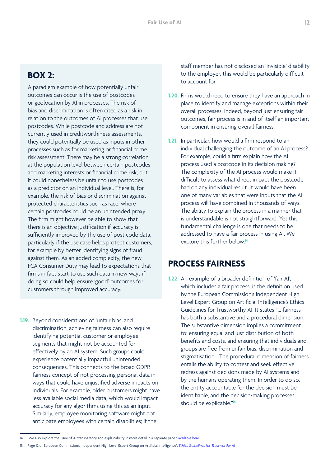#### <span id="page-11-0"></span>**BOX 2:**

A paradigm example of how potentially unfair outcomes can occur is the use of postcodes or geolocation by AI in processes. The risk of bias and discrimination is often cited as a risk in relation to the outcomes of AI processes that use postcodes. While postcode and address are not currently used in creditworthiness assessments, they could potentially be used as inputs in other processes such as for marketing or financial crime risk assessment. There may be a strong correlation at the population level between certain postcodes and marketing interests or financial crime risk, but it could nonetheless be unfair to use postcodes as a predictor on an individual level. There is, for example, the risk of bias or discrimination against protected characteristics such as race, where certain postcodes could be an unintended proxy. The firm might however be able to show that there is an objective justification if accuracy is sufficiently improved by the use of post code data, particularly if the use case helps protect customers, for example by better identifying signs of fraud against them. As an added complexity, the new FCA Consumer Duty may lead to expectations that firms in fact start to use such data in new ways if doing so could help ensure 'good' outcomes for customers through improved accuracy.

**1.19.** Beyond considerations of 'unfair bias' and discrimination, achieving fairness can also require identifying potential customer or employee segments that might not be accounted for effectively by an AI system. Such groups could experience potentially impactful unintended consequences. This connects to the broad GDPR fairness concept of not processing personal data in ways that could have unjustified adverse impacts on individuals. For example, older customers might have less available social media data, which would impact accuracy for any algorithms using this as an input. Similarly, employee monitoring software might not anticipate employees with certain disabilities; if the

staff member has not disclosed an 'invisible' disability to the employer, this would be particularly difficult to account for.

- **1.20.** Firms would need to ensure they have an approach in place to identify and manage exceptions within their overall processes. Indeed, beyond just ensuring fair outcomes, fair process is in and of itself an important component in ensuring overall fairness.
- **1.21.** In particular, how would a firm respond to an individual challenging the outcome of an AI process? For example, could a firm explain how the AI process used a postcode in its decision making? The complexity of the AI process would make it difficult to assess what direct impact the postcode had on any individual result. It would have been one of many variables that were inputs that the AI process will have combined in thousands of ways. The ability to explain the process in a manner that is understandable is not straightforward. Yet this fundamental challenge is one that needs to be addressed to have a fair process in using AI. We explore this further below.**<sup>14</sup>**

#### **PROCESS FAIRNESS**

**1.22.** An example of a broader definition of 'fair AI', which includes a fair process, is the definition used by the European Commission's Independent High Level Expert Group on Artificial Intelligence's Ethics Guidelines for Trustworthy AI. It states "… fairness has both a substantive and a procedural dimension. The substantive dimension implies a commitment to: ensuring equal and just distribution of both benefits and costs, and ensuring that individuals and groups are free from unfair bias, discrimination and stigmatisation… The procedural dimension of fairness entails the ability to contest and seek effective redress against decisions made by AI systems and by the humans operating them. In order to do so, the entity accountable for the decision must be identifiable, and the decision-making processes should be explicable."**15**

<sup>14</sup> We also explore the issue of AI transparency and explainability in more detail in a separate paper, available here

<sup>15</sup> Page 12 of European Commission's Independent High Level Expert Group on Artificial Intelligence's *[Ethics Guidelines for Trustworthy AI.](https://ec.europa.eu/futurium/en/ai-alliance-consultation.1.html)*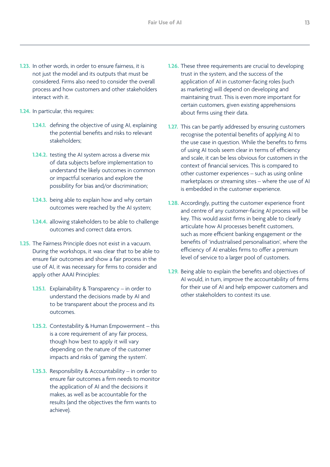- **1.23.** In other words, in order to ensure fairness, it is not just the model and its outputs that must be considered. Firms also need to consider the overall process and how customers and other stakeholders interact with it.
- **1.24.** In particular, this requires:
	- **1.24.1.** defining the objective of using AI, explaining the potential benefits and risks to relevant stakeholders;
	- **1.24.2.** testing the AI system across a diverse mix of data subjects before implementation to understand the likely outcomes in common or impactful scenarios and explore the possibility for bias and/or discrimination;
	- **1.24.3.** being able to explain how and why certain outcomes were reached by the AI system;
	- **1.24.4.** allowing stakeholders to be able to challenge outcomes and correct data errors.
- **1.25.** The Fairness Principle does not exist in a vacuum. During the workshops, it was clear that to be able to ensure fair outcomes and show a fair process in the use of AI, it was necessary for firms to consider and apply other AAAI Principles:
	- **1.25.1.** Explainability & Transparency in order to understand the decisions made by AI and to be transparent about the process and its outcomes.
	- **1.25.2.** Contestability & Human Empowerment this is a core requirement of any fair process, though how best to apply it will vary depending on the nature of the customer impacts and risks of 'gaming the system'.
	- **1.25.3.** Responsibility & Accountability in order to ensure fair outcomes a firm needs to monitor the application of AI and the decisions it makes, as well as be accountable for the results (and the objectives the firm wants to achieve).
- **1.26.** These three requirements are crucial to developing trust in the system, and the success of the application of AI in customer-facing roles (such as marketing) will depend on developing and maintaining trust. This is even more important for certain customers, given existing apprehensions about firms using their data.
- **1.27.** This can be partly addressed by ensuring customers recognise the potential benefits of applying AI to the use case in question. While the benefits to firms of using AI tools seem clear in terms of efficiency and scale, it can be less obvious for customers in the context of financial services. This is compared to other customer experiences – such as using online marketplaces or streaming sites – where the use of AI is embedded in the customer experience.
- **1.28.** Accordingly, putting the customer experience front and centre of any customer-facing AI process will be key. This would assist firms in being able to clearly articulate how AI processes benefit customers, such as more efficient banking engagement or the benefits of 'industrialised personalisation', where the efficiency of AI enables firms to offer a premium level of service to a larger pool of customers.
- **1.29.** Being able to explain the benefits and objectives of AI would, in turn, improve the accountability of firms for their use of AI and help empower customers and other stakeholders to contest its use.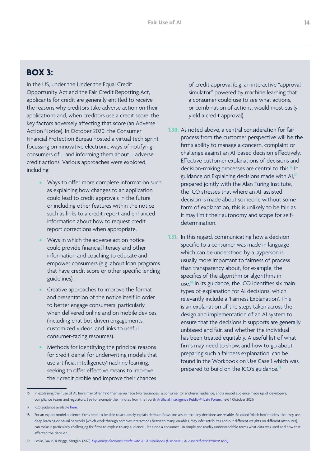#### **BOX 3:**

In the US, under the Under the Equal Credit Opportunity Act and the Fair Credit Reporting Act, applicants for credit are generally entitled to receive the reasons why creditors take adverse action on their applications and, when creditors use a credit score, the key factors adversely affecting that score (an Adverse Action Notice). In October 2020, the Consumer Financial Protection Bureau hosted a virtual tech sprint focussing on innovative electronic ways of notifying consumers of – and informing them about – adverse credit actions. Various approaches were explored, including:

- **•** Ways to offer more complete information such as explaining how changes to an application could lead to credit approvals in the future or including other features within the notice such as links to a credit report and enhanced information about how to request credit report corrections when appropriate.
- **•** Ways in which the adverse action notice could provide financial literacy and other information and coaching to educate and empower consumers (e.g. about loan programs that have credit score or other specific lending guidelines).
- **•** Creative approaches to improve the format and presentation of the notice itself in order to better engage consumers, particularly when delivered online and on mobile devices (including chat bot driven engagements, customized videos, and links to useful consumer-facing resources).
- **•** Methods for identifying the principal reasons for credit denial for underwriting models that use artificial intelligence/machine learning, seeking to offer effective means to improve their credit profile and improve their chances

of credit approval (e.g. an interactive "approval simulator" powered by machine learning that a consumer could use to see what actions, or combination of actions, would most easily yield a credit approval).

- **1.30.** As noted above, a central consideration for fair process from the customer perspective will be the firm's ability to manage a concern, complaint or challenge against an AI-based decision effectively. Effective customer explanations of decisions and decision-making processes are central to this.**<sup>16</sup>** In guidance on Explaining decisions made with AI,**<sup>17</sup>** prepared jointly with the Alan Turing Institute, the ICO stresses that where an AI-assisted decision is made about someone without some form of explanation, this is unlikely to be fair, as it may limit their autonomy and scope for selfdetermination.
- **1.31.** In this regard, communicating how a decision specific to a consumer was made in language which can be understood by a layperson is usually more important to fairness of process than transparency about, for example, the specifics of the algorithm or algorithms in use.**<sup>18</sup>** In its guidance, the ICO identifies six main types of explanation for AI decisions, which relevantly include a 'Fairness Explanation'. This is an explanation of the steps taken across the design and implementation of an AI system to ensure that the decisions it supports are generally unbiased and fair, and whether the individual has been treated equitably. A useful list of what firms may need to show, and how to go about preparing such a fairness explanation, can be found in the Workbook on Use Case 1 which was prepared to build on the ICO's guidance.**19**

<sup>16</sup> In explaining their use of AI, firms may often find themselves face two 'audiences': a consumer (or end-user) audience, and a model audience made up of developers, compliance teams and regulators. See for example the minutes from the fourth [Artificial Intelligence Public-Private Forum,](https://www.bankofengland.co.uk/news?NewsTypes=09f8960ebc384e3589da5349744916ae&Taxonomies=8a8ca1e0b3a04d65bb63d24bfcb0337d&InfiniteScrolling=False&Direction=Latest) held 1 October 2021).

<sup>17</sup> ICO guidance available [here.](https://ico.org.uk/for-organisations/guide-to-data-protection/key-dp-themes/explaining-decisions-made-with-ai/)

<sup>18</sup> For an expert model audience, firms need to be able to accurately explain decision flows and assure that any decisions are reliable. So called 'black-box' models, that may use deep learning or neural networks (which work through complex interactions between many variables, may infer attributes and put different weights on different attributes), can make it particularly challenging for firms to explain to any audience - let alone a consumer - in simple and readily understandable terms what data was used and how that affected the decision.

<sup>19</sup> Leslie, David, & Briggs, Morgan. (2021). *[Explaining decisions made with AI: A workbook \(Use case 1: AI-assisted recruitment tool\).](https://doi.org/10.5281/zenodo.4624711)*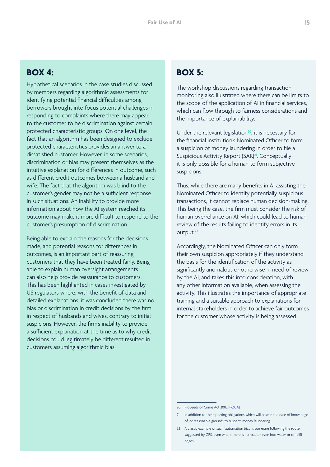#### **BOX 4:**

Hypothetical scenarios in the case studies discussed by members regarding algorithmic assessments for identifying potential financial difficulties among borrowers brought into focus potential challenges in responding to complaints where there may appear to the customer to be discrimination against certain protected characteristic groups. On one level, the fact that an algorithm has been designed to exclude protected characteristics provides an answer to a dissatisfied customer. However, in some scenarios, discrimination or bias may present themselves as the intuitive explanation for differences in outcome, such as different credit outcomes between a husband and wife. The fact that the algorithm was blind to the customer's gender may not be a sufficient response in such situations. An inability to provide more information about how the AI system reached its outcome may make it more difficult to respond to the customer's presumption of discrimination.

Being able to explain the reasons for the decisions made, and potential reasons for differences in outcomes, is an important part of reassuring customers that they have been treated fairly. Being able to explain human oversight arrangements can also help provide reassurance to customers. This has been highlighted in cases investigated by US regulators where, with the benefit of data and detailed explanations, it was concluded there was no bias or discrimination in credit decisions by the firm in respect of husbands and wives, contrary to initial suspicions. However, the firm's inability to provide a sufficient explanation at the time as to why credit decisions could legitimately be different resulted in customers assuming algorithmic bias.

#### **BOX 5:**

The workshop discussions regarding transaction monitoring also illustrated where there can be limits to the scope of the application of AI in financial services, which can flow through to fairness considerations and the importance of explainability.

Under the relevant legislation**<sup>20</sup>**, it is necessary for the financial institution's Nominated Officer to form a suspicion of money laundering in order to file a Suspicious Activity Report (SAR)**<sup>21</sup>**. Conceptually it is only possible for a human to form subjective suspicions.

Thus, while there are many benefits in AI assisting the Nominated Officer to identify potentially suspicious transactions, it cannot replace human decision-making. This being the case, the firm must consider the risk of human overreliance on AI, which could lead to human review of the results failing to identify errors in its output.**<sup>22</sup>**

Accordingly, the Nominated Officer can only form their own suspicion appropriately if they understand the basis for the identification of the activity as significantly anomalous or otherwise in need of review by the AI, and takes this into consideration, with any other information available, when assessing the activity. This illustrates the importance of appropriate training and a suitable approach to explanations for internal stakeholders in order to achieve fair outcomes for the customer whose activity is being assessed.

<sup>20</sup> Proceeds of Crime Act 2002 [\(POCA](https://www.legislation.gov.uk/ukpga/2002/29/contents)).

<sup>21</sup> In addition to the reporting obligations which will arise in the case of knowledge of, or reasonable grounds to suspect, money laundering.

<sup>22</sup> A classic example of such 'automation bias' is someone following the route suggested by GPS, even where there is no road or even into water or off cliff edges.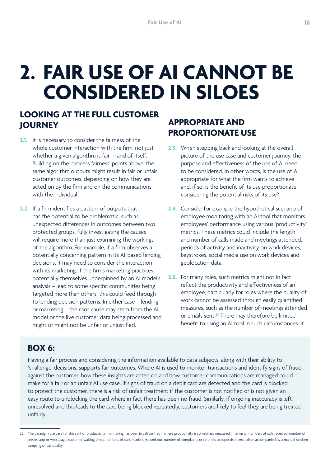## <span id="page-15-0"></span>**2. FAIR USE OF AI CANNOT BE CONSIDERED IN SILOES**

### **LOOKING AT THE FULL CUSTOMER JOURNEY**

- 2.1. It is necessary to consider the fairness of the whole customer interaction with the firm, not just whether a given algorithm is fair in and of itself. Building on the 'process fairness' points above, the same algorithm outputs might result in fair or unfair customer outcomes, depending on how they are acted on by the firm and on the communications with the individual.
- **2.2.** If a firm identifies a pattern of outputs that has the potential to be problematic, such as unexpected differences in outcomes between two protected groups, fully investigating the causes will require more than just examining the workings of the algorithm. For example, if a firm observes a potentially concerning pattern in its AI-based lending decisions, it may need to consider the interaction with its marketing. If the firms marketing practices – potentially themselves underpinned by an AI model's analysis – lead to some specific communities being targeted more than others, this could feed through to lending decision patterns. In either case – lending or marketing – the root cause may stem from the AI model or the live customer data being processed and might or might not be unfair or unjustified.

### **APPROPRIATE AND PROPORTIONATE USE**

- **2.3.** When stepping back and looking at the overall picture of the use case and customer journey, the purpose and effectiveness of the use of AI need to be considered. In other words, is the use of AI appropriate for what the firm wants to achieve and, if so, is the benefit of its use proportionate considering the potential risks of its use?
- **2.4.** Consider for example the hypothetical scenario of employee monitoring with an AI tool that monitors employees' performance using various 'productivity' metrics. These metrics could include the length and number of calls made and meetings attended, periods of activity and inactivity on work devices, keystrokes, social media use on work devices and geolocation data.
- **2.5.** For many roles, such metrics might not in fact reflect the productivity and effectiveness of an employee, particularly for roles where the quality of work cannot be assessed through easily quantified measures, such as the number of meetings attended or emails sent.**<sup>23</sup>** There may therefore be limited benefit to using an AI tool in such circumstances. It

#### **BOX 6:**

Having a fair process and considering the information available to data subjects, along with their ability to 'challenge' decisions, supports fair outcomes. Where AI is used to monitor transactions and identify signs of fraud against the customer, how these insights are acted on and how customer communications are managed could make for a fair or an unfair AI use case. If signs of fraud on a debit card are detected and the card is blocked to protect the customer, there is a risk of unfair treatment if the customer is not notified or is not given an easy route to unblocking the card where in fact there has been no fraud. Similarly, if ongoing inaccuracy is left unresolved and this leads to the card being blocked repeatedly, customers are likely to feel they are being treated unfairly.

<sup>23</sup> The paradigm use case for this sort of productivity monitoring has been in call centres – where productivity is sometimes measured in terms of numbers of calls received, number of breaks, app or web usage, customer waiting times, numbers of calls resolved/closed out; number of complaints or referrals to supervisors etc. often accompanied by a manual random sampling of call quality.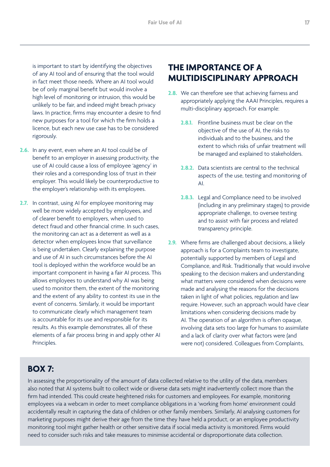<span id="page-16-0"></span>is important to start by identifying the objectives of any AI tool and of ensuring that the tool would in fact meet those needs. Where an AI tool would be of only marginal benefit but would involve a high level of monitoring or intrusion, this would be unlikely to be fair, and indeed might breach privacy laws. In practice, firms may encounter a desire to find new purposes for a tool for which the firm holds a licence, but each new use case has to be considered rigorously.

- **2.6.** In any event, even where an AI tool could be of benefit to an employer in assessing productivity, the use of AI could cause a loss of employee 'agency' in their roles and a corresponding loss of trust in their employer. This would likely be counterproductive to the employer's relationship with its employees.
- **2.7.** In contrast, using AI for employee monitoring may well be more widely accepted by employees, and of clearer benefit to employers, when used to detect fraud and other financial crime. In such cases, the monitoring can act as a deterrent as well as a detector when employees know that surveillance is being undertaken. Clearly explaining the purpose and use of AI in such circumstances before the AI tool is deployed within the workforce would be an important component in having a fair AI process. This allows employees to understand why AI was being used to monitor them, the extent of the monitoring and the extent of any ability to contest its use in the event of concerns. Similarly, it would be important to communicate clearly which management team is accountable for its use and responsible for its results. As this example demonstrates, all of these elements of a fair process bring in and apply other AI Principles.

### **THE IMPORTANCE OF A MULTIDISCIPLINARY APPROACH**

- **2.8.** We can therefore see that achieving fairness and appropriately applying the AAAI Principles, requires a multi-disciplinary approach. For example:
	- **2.8.1.** Frontline business must be clear on the objective of the use of AI, the risks to individuals and to the business, and the extent to which risks of unfair treatment will be managed and explained to stakeholders.
	- **2.8.2.** Data scientists are central to the technical aspects of the use, testing and monitoring of AI.
	- **2.8.3.** Legal and Compliance need to be involved (including in any preliminary stages) to provide appropriate challenge, to oversee testing and to assist with fair process and related transparency principle.
- **2.9.** Where firms are challenged about decisions, a likely approach is for a Complaints team to investigate, potentially supported by members of Legal and Compliance, and Risk. Traditionally that would involve speaking to the decision makers and understanding what matters were considered when decisions were made and analysing the reasons for the decisions taken in light of what policies, regulation and law require. However, such an approach would have clear limitations when considering decisions made by AI. The operation of an algorithm is often opaque, involving data sets too large for humans to assimilate and a lack of clarity over what factors were (and were not) considered. Colleagues from Complaints,

#### **BOX 7:**

In assessing the proportionality of the amount of data collected relative to the utility of the data, members also noted that AI systems built to collect wide or diverse data sets might inadvertently collect more than the firm had intended. This could create heightened risks for customers and employees. For example, monitoring employees via a webcam in order to meet compliance obligations in a 'working from home' environment could accidentally result in capturing the data of children or other family members. Similarly, AI analysing customers for marketing purposes might derive their age from the time they have held a product, or an employee productivity monitoring tool might gather health or other sensitive data if social media activity is monitored. Firms would need to consider such risks and take measures to minimise accidental or disproportionate data collection.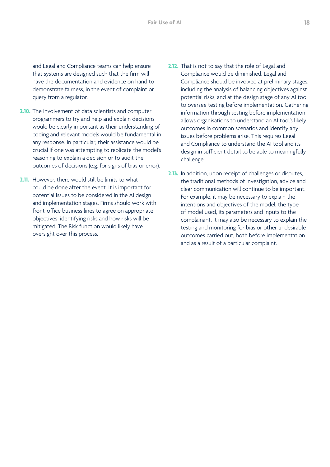and Legal and Compliance teams can help ensure that systems are designed such that the firm will have the documentation and evidence on hand to demonstrate fairness, in the event of complaint or query from a regulator.

- **2.10.** The involvement of data scientists and computer programmers to try and help and explain decisions would be clearly important as their understanding of coding and relevant models would be fundamental in any response. In particular, their assistance would be crucial if one was attempting to replicate the model's reasoning to explain a decision or to audit the outcomes of decisions (e.g. for signs of bias or error).
- **2.11.** However, there would still be limits to what could be done after the event. It is important for potential issues to be considered in the AI design and implementation stages. Firms should work with front-office business lines to agree on appropriate objectives, identifying risks and how risks will be mitigated. The Risk function would likely have oversight over this process.
- **2.12.** That is not to say that the role of Legal and Compliance would be diminished. Legal and Compliance should be involved at preliminary stages, including the analysis of balancing objectives against potential risks, and at the design stage of any AI tool to oversee testing before implementation. Gathering information through testing before implementation allows organisations to understand an AI tool's likely outcomes in common scenarios and identify any issues before problems arise. This requires Legal and Compliance to understand the AI tool and its design in sufficient detail to be able to meaningfully challenge.
- **2.13.** In addition, upon receipt of challenges or disputes, the traditional methods of investigation, advice and clear communication will continue to be important. For example, it may be necessary to explain the intentions and objectives of the model, the type of model used, its parameters and inputs to the complainant. It may also be necessary to explain the testing and monitoring for bias or other undesirable outcomes carried out, both before implementation and as a result of a particular complaint.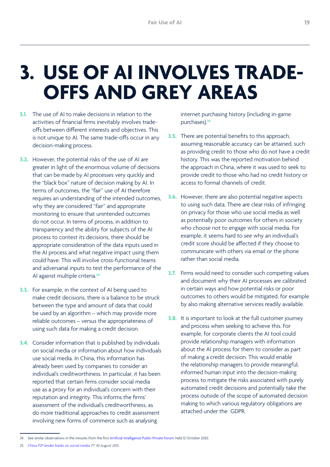## <span id="page-18-0"></span>**3. USE OF AI INVOLVES TRADE-OFFS AND GREY AREAS**

- **3.1.** The use of AI to make decisions in relation to the activities of financial firms inevitably involves tradeoffs between different interests and objectives. This is not unique to AI. The same trade-offs occur in any decision-making process.
- **3.2.** However, the potential risks of the use of AI are greater in light of the enormous volume of decisions that can be made by AI processes very quickly and the "black box" nature of decision making by AI. In terms of outcomes, the "fair" use of AI therefore requires an understanding of the intended outcomes, why they are considered "fair" and appropriate monitoring to ensure that unintended outcomes do not occur. In terms of process, in addition to transparency and the ability for subjects of the AI process to contest its decisions, there should be appropriate consideration of the data inputs used in the AI process and what negative impact using them could have. This will involve cross-functional teams and adversarial inputs to test the performance of the AI against multiple criteria.**<sup>24</sup>**
- **3.3.** For example, in the context of AI being used to make credit decisions, there is a balance to be struck between the type and amount of data that could be used by an algorithm – which may provide more reliable outcomes – versus the appropriateness of using such data for making a credit decision.
- **3.4.** Consider information that is published by individuals on social media or information about how individuals use social media. In China, this information has already been used by companies to consider an individual's creditworthiness. In particular, it has been reported that certain firms consider social media use as a proxy for an individual's concern with their reputation and integrity. This informs the firms' assessment of the individual's creditworthiness, as do more traditional approaches to credit assessment involving new forms of commerce such as analysing

internet purchasing history (including in-game purchases).**<sup>25</sup>**

- **3.5.** There are potential benefits to this approach, assuming reasonable accuracy can be attained, such as providing credit to those who do not have a credit history. This was the reported motivation behind the approach in China, where it was used to seek to provide credit to those who had no credit history or access to formal channels of credit.
- **3.6.** However, there are also potential negative aspects to using such data. There are clear risks of infringing on privacy for those who use social media as well as potentially poor outcomes for others in society who choose not to engage with social media. For example, it seems hard to see why an individual's credit score should be affected if they choose to communicate with others via email or the phone rather than social media.
- **3.7.** Firms would need to consider such competing values and document why their AI processes are calibrated in certain ways and how potential risks or poor outcomes to others would be mitigated, for example by also making alternative services readily available.
- **3.8.** It is important to look at the full customer journey and process when seeking to achieve this. For example, for corporate clients the AI tool could provide relationship managers with information about the AI process for them to consider as part of making a credit decision. This would enable the relationship managers to provide meaningful, informed human input into the decision-making process to mitigate the risks associated with purely automated credit decisions and potentially take the process outside of the scope of automated decision making to which various regulatory obligations are attached under the GDPR.

<sup>24</sup> See similar observations in the minutes from the first [Artificial Intelligence Public-Private Forum,](https://www.bankofengland.co.uk/news?NewsTypes=09f8960ebc384e3589da5349744916ae&Taxonomies=8a8ca1e0b3a04d65bb63d24bfcb0337d&InfiniteScrolling=False&Direction=Latest) held 12 October 2020.

<sup>25</sup> *[China P2P lender banks on social media,](https://www.ft.com/content/673d9608-4d83-11e5-b558-8a9722977189) FT 30 August 2015.*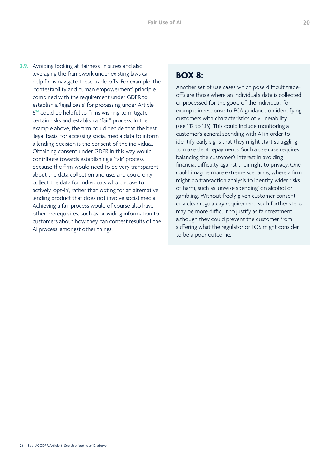**3.9.** Avoiding looking at 'fairness' in siloes and also leveraging the framework under existing laws can help firms navigate these trade-offs. For example, the 'contestability and human empowerment' principle, combined with the requirement under GDPR to establish a 'legal basis' for processing under Article 6**<sup>26</sup>** could be helpful to firms wishing to mitigate certain risks and establish a "fair" process. In the example above, the firm could decide that the best 'legal basis' for accessing social media data to inform a lending decision is the consent of the individual. Obtaining consent under GDPR in this way would contribute towards establishing a 'fair' process because the firm would need to be very transparent about the data collection and use, and could only collect the data for individuals who choose to actively 'opt-in', rather than opting for an alternative lending product that does not involve social media. Achieving a fair process would of course also have other prerequisites, such as providing information to customers about how they can contest results of the AI process, amongst other things.

#### **BOX 8:**

Another set of use cases which pose difficult tradeoffs are those where an individual's data is collected or processed for the good of the individual, for example in response to FCA guidance on identifying customers with characteristics of vulnerability (see 1.12 to 1.15). This could include monitoring a customer's general spending with AI in order to identify early signs that they might start struggling to make debt repayments. Such a use case requires balancing the customer's interest in avoiding financial difficulty against their right to privacy. One could imagine more extreme scenarios, where a firm might do transaction analysis to identify wider risks of harm, such as 'unwise spending' on alcohol or gambling. Without freely given customer consent or a clear regulatory requirement, such further steps may be more difficult to justify as fair treatment, although they could prevent the customer from suffering what the regulator or FOS might consider to be a poor outcome.

<sup>26</sup> See UK GDPR Article 6. See also footnote 10, above.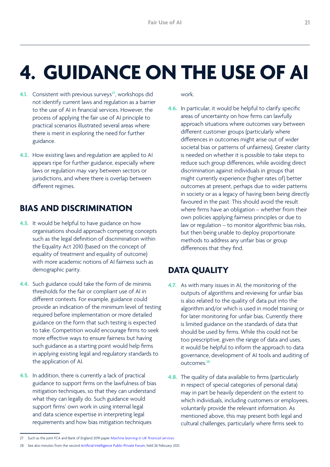# <span id="page-20-0"></span>**4. GUIDANCE ON THE USE OF AI**

- **4.1.** Consistent with previous surveys<sup>27</sup>, workshops did not identify current laws and regulation as a barrier to the use of AI in financial services. However, the process of applying the fair use of AI principle to practical scenarios illustrated several areas where there is merit in exploring the need for further guidance.
- **4.2.** How existing laws and regulation are applied to AI appears ripe for further guidance, especially where laws or regulation may vary between sectors or jurisdictions, and where there is overlap between different regimes.

### **BIAS AND DISCRIMINATION**

- **4.3.** It would be helpful to have guidance on how organisations should approach competing concepts such as the legal definition of discrimination within the Equality Act 2010 (based on the concept of equality of treatment and equality of outcome) with more academic notions of AI fairness such as demographic parity.
- **4.4.** Such guidance could take the form of de minimis thresholds for the fair or compliant use of AI in different contexts. For example, guidance could provide an indication of the minimum level of testing required before implementation or more detailed guidance on the form that such testing is expected to take. Competition would encourage firms to seek more effective ways to ensure fairness but having such guidance as a starting point would help firms in applying existing legal and regulatory standards to the application of AI.
- **4.5.** In addition, there is currently a lack of practical guidance to support firms on the lawfulness of bias mitigation techniques, so that they can understand what they can legally do. Such guidance would support firms' own work in using internal legal and data science expertise in interpreting legal requirements and how bias mitigation techniques

work.

**4.6.** In particular, it would be helpful to clarify specific areas of uncertainty on how firms can lawfully approach situations where outcomes vary between different customer groups (particularly where differences in outcomes might arise out of wider societal bias or patterns of unfairness). Greater clarity is needed on whether it is possible to take steps to reduce such group differences, while avoiding direct discrimination against individuals in groups that might currently experience (higher rates of) better outcomes at present, perhaps due to wider patterns in society or as a legacy of having been being directly favoured in the past. This should avoid the result where firms have an obligation – whether from their own policies applying fairness principles or due to law or regulation – to monitor algorithmic bias risks, but then being unable to deploy proportionate methods to address any unfair bias or group differences that they find.

### **DATA QUALITY**

- **4.7.** As with many issues in AI, the monitoring of the outputs of algorithms and reviewing for unfair bias is also related to the quality of data put into the algorithm and/or which is used in model training or for later monitoring for unfair bias. Currently there is limited guidance on the standards of data that should be used by firms. While this could not be too prescriptive, given the range of data and uses, it would be helpful to inform the approach to data governance, development of AI tools and auditing of outcomes.**<sup>28</sup>**
- **4.8.** The quality of data available to firms (particularly in respect of special categories of personal data) may in part be heavily dependent on the extent to which individuals, including customers or employees, voluntarily provide the relevant information. As mentioned above, this may present both legal and cultural challenges, particularly where firms seek to

<sup>27</sup> Such as the joint FCA and Bank of England 2019 paper *[Machine learning in UK financial services](https://www.bankofengland.co.uk/report/2019/machine-learning-in-uk-financial-services).*

<sup>28</sup> See also minutes from the second [Artificial Intelligence Public-Private Forum](https://www.bankofengland.co.uk/news?NewsTypes=09f8960ebc384e3589da5349744916ae&Taxonomies=8a8ca1e0b3a04d65bb63d24bfcb0337d&InfiniteScrolling=False&Direction=Latest), held 26 February 2021.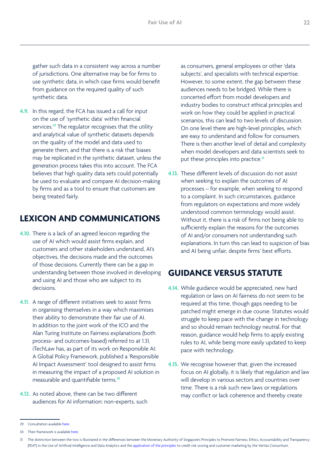<span id="page-21-0"></span>gather such data in a consistent way across a number of jurisdictions. One alternative may be for firms to use synthetic data, in which case firms would benefit from guidance on the required quality of such synthetic data.

**4.9.** In this regard, the FCA has issued a call for input on the use of 'synthetic data' within financial services.**<sup>29</sup>** The regulator recognises that the utility and analytical value of synthetic datasets depends on the quality of the model and data used to generate them, and that there is a risk that biases may be replicated in the synthetic dataset, unless the generation process takes this into account. The FCA believes that high quality data sets could potentially be used to evaluate and compare AI decision-making by firms and as a tool to ensure that customers are being treated fairly.

### **LEXICON AND COMMUNICATIONS**

- **4.10.** There is a lack of an agreed lexicon regarding the use of AI which would assist firms explain, and customers and other stakeholders understand, AI's objectives, the decisions made and the outcomes of those decisions. Currently there can be a gap in understanding between those involved in developing and using AI and those who are subject to its decisions.
- **4.11.** A range of different initiatives seek to assist firms in organising themselves in a way which maximises their ability to demonstrate their fair use of AI. In addition to the joint work of the ICO and the Alan Turing Institute on Fairness explanations (both process- and outcomes-based) referred to at 1.31, iTechLaw has, as part of its work on Responsible AI: A Global Policy Framework, published a 'Responsible AI Impact Assessment' tool designed to assist firms in measuring the impact of a proposed AI solution in measurable and quantifiable terms.**<sup>30</sup>**
- **4.12.** As noted above, there can be two different audiences for AI information: non-experts, such

as consumers, general employees or other 'data subjects', and specialists with technical expertise. However, to some extent, the gap between these audiences needs to be bridged. While there is concerted effort from model developers and industry bodies to construct ethical principles and work on how they could be applied in practical scenarios, this can lead to two levels of discussion. On one level there are high-level principles, which are easy to understand and follow for consumers. There is then another level of detail and complexity when model developers and data scientists seek to put these principles into practice.**<sup>31</sup>**

**4.13.** These different levels of discussion do not assist when seeking to explain the outcomes of AI processes – for example, when seeking to respond to a complaint. In such circumstances, guidance from regulators on expectations and more widely understood common terminology would assist. Without it, there is a risk of firms not being able to sufficiently explain the reasons for the outcomes of AI and/or consumers not understanding such explanations. In turn this can lead to suspicion of bias and AI being unfair, despite firms' best efforts.

### **GUIDANCE VERSUS STATUTE**

- **4.14.** While guidance would be appreciated, new hard regulation or laws on AI fairness do not seem to be required at this time, though gaps needing to be patched might emerge in due course. Statutes would struggle to keep pace with the change in technology and so should remain technology neutral. For that reason, guidance would help firms to apply existing rules to AI, while being more easily updated to keep pace with technology.
- **4.15.** We recognise however that, given the increased focus on AI globally, it is likely that regulation and law will develop in various sectors and countries over time. There is a risk such new laws or regulations may conflict or lack coherence and thereby create

<sup>29</sup> Consultation available [here.](https://www.fca.org.uk/publications/calls-input/call-input-synthetic-data-support-financial-services-innovation)

<sup>30</sup> Their framework is available [here.](https://www.itechlaw.org/ResponsibleAI2021)

<sup>31</sup> The distinction between the two is illustrated in the differences between the Monetary Authority of Singapore's Principles to Promote Fairness, Ethics, Accountability and Transparency (FEAT) in the Use of Artificial Intelligence and Data Analytics and the [application of the principles](https://www.mas.gov.sg/-/media/MAS/News/Media-Releases/2021/Veritas-Document-2-FEAT-Fairness-Principles-Assessment-Case-Studies.pdf) to credit risk scoring and customer marketing by the Veritas Consortium.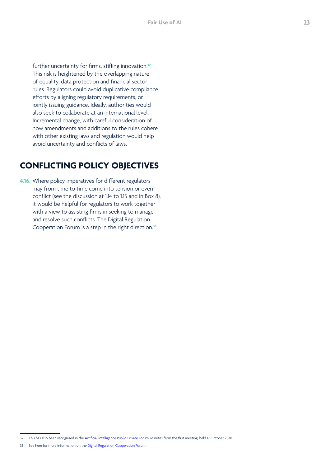<span id="page-22-0"></span>further uncertainty for firms, stifling innovation.**<sup>32</sup>** This risk is heightened by the overlapping nature of equality, data protection and financial sector rules. Regulators could avoid duplicative compliance efforts by aligning regulatory requirements, or jointly issuing guidance. Ideally, authorities would also seek to collaborate at an international level. Incremental change, with careful consideration of how amendments and additions to the rules cohere with other existing laws and regulation would help avoid uncertainty and conflicts of laws.

#### **CONFLICTING POLICY OBJECTIVES**

**4.16.** Where policy imperatives for different regulators may from time to time come into tension or even conflict (see the discussion at 1.14 to 1.15 and in Box 8), it would be helpful for regulators to work together with a view to assisting firms in seeking to manage and resolve such conflicts. The Digital Regulation Cooperation Forum is a step in the right direction.**<sup>33</sup>**

<sup>32</sup> This has also been recognised in the [Artificial Intelligence Public-Private Forum](https://www.bankofengland.co.uk/news?NewsTypes=09f8960ebc384e3589da5349744916ae&Taxonomies=8a8ca1e0b3a04d65bb63d24bfcb0337d&InfiniteScrolling=False&Direction=Latest). Minutes from the first meeting, held 12 October 2020.

<sup>33</sup> See here for more information on the [Digital Regulation Cooperation Forum.](https://www.gov.uk/government/collections/the-digital-regulation-cooperation-forum)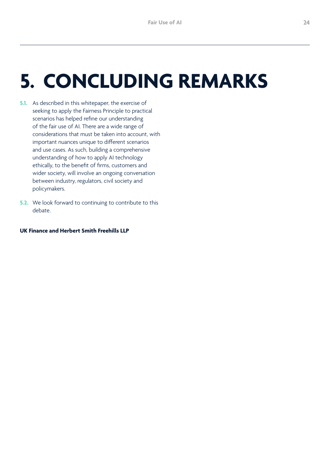## <span id="page-23-0"></span>**5. CONCLUDING REMARKS**

- **5.1.** As described in this whitepaper, the exercise of seeking to apply the Fairness Principle to practical scenarios has helped refine our understanding of the fair use of AI. There are a wide range of considerations that must be taken into account, with important nuances unique to different scenarios and use cases. As such, building a comprehensive understanding of how to apply AI technology ethically, to the benefit of firms, customers and wider society, will involve an ongoing conversation between industry, regulators, civil society and policymakers.
- **5.2.** We look forward to continuing to contribute to this debate.

#### **UK Finance and Herbert Smith Freehills LLP**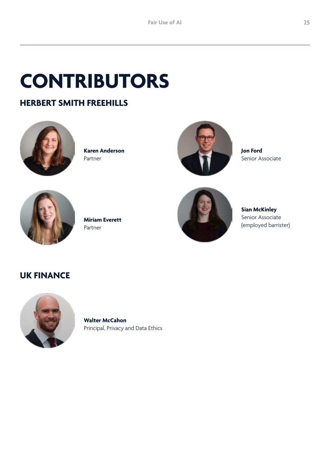# <span id="page-24-0"></span>**CONTRIBUTORS**

### **HERBERT SMITH FREEHILLS**



**Karen Anderson** Partner



**Jon Ford** Senior Associate



**Miriam Everett** Partner



**Sian McKinley** Senior Associate (employed barrister)

#### **UK FINANCE**



**Walter McCahon** Principal, Privacy and Data Ethics